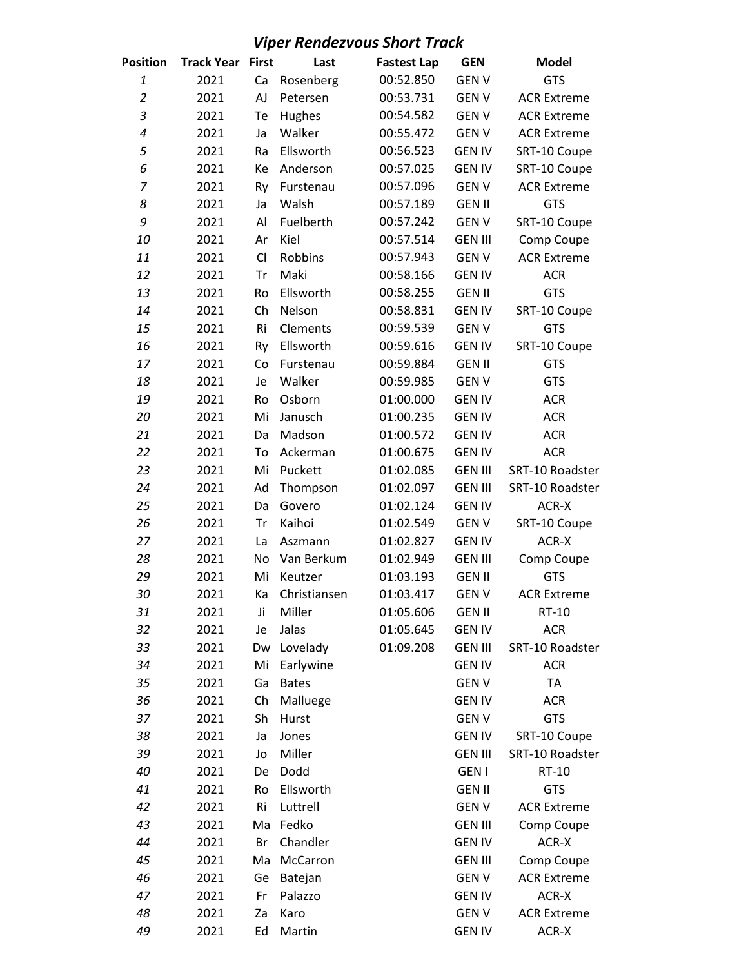## *Viper Rendezvous Short Track*

| Position           | <b>Track Year</b> | <b>First</b> | Last         | <b>Fastest Lap</b> | <b>GEN</b>     | <b>Model</b>       |
|--------------------|-------------------|--------------|--------------|--------------------|----------------|--------------------|
| $\mathbf{1}% _{T}$ | 2021              | Ca           | Rosenberg    | 00:52.850          | <b>GENV</b>    | <b>GTS</b>         |
| $\overline{2}$     | 2021              | AJ           | Petersen     | 00:53.731          | <b>GENV</b>    | <b>ACR Extreme</b> |
| $\overline{3}$     | 2021              | Te           | Hughes       | 00:54.582          | <b>GENV</b>    | <b>ACR Extreme</b> |
| 4                  | 2021              | Ja           | Walker       | 00:55.472          | <b>GENV</b>    | <b>ACR Extreme</b> |
| 5                  | 2021              | Ra           | Ellsworth    | 00:56.523          | <b>GEN IV</b>  | SRT-10 Coupe       |
| 6                  | 2021              | Кe           | Anderson     | 00:57.025          | <b>GEN IV</b>  | SRT-10 Coupe       |
| $\overline{7}$     | 2021              | Ry           | Furstenau    | 00:57.096          | <b>GENV</b>    | <b>ACR Extreme</b> |
| 8                  | 2021              | Ja           | Walsh        | 00:57.189          | <b>GEN II</b>  | <b>GTS</b>         |
| 9                  | 2021              | Al           | Fuelberth    | 00:57.242          | <b>GENV</b>    | SRT-10 Coupe       |
| 10                 | 2021              | Ar           | Kiel         | 00:57.514          | <b>GEN III</b> | Comp Coupe         |
| 11                 | 2021              | CI           | Robbins      | 00:57.943          | <b>GEN V</b>   | <b>ACR Extreme</b> |
| 12                 | 2021              | Tr           | Maki         | 00:58.166          | <b>GEN IV</b>  | <b>ACR</b>         |
| 13                 | 2021              | Ro           | Ellsworth    | 00:58.255          | <b>GEN II</b>  | GTS                |
| 14                 | 2021              | Ch           | Nelson       | 00:58.831          | <b>GEN IV</b>  | SRT-10 Coupe       |
| 15                 | 2021              | Ri           | Clements     | 00:59.539          | <b>GENV</b>    | <b>GTS</b>         |
| 16                 | 2021              | Ry           | Ellsworth    | 00:59.616          | <b>GEN IV</b>  | SRT-10 Coupe       |
| 17                 | 2021              | Co           | Furstenau    | 00:59.884          | <b>GEN II</b>  | <b>GTS</b>         |
| 18                 | 2021              | Je           | Walker       | 00:59.985          | <b>GENV</b>    | <b>GTS</b>         |
| 19                 | 2021              | Ro           | Osborn       | 01:00.000          | <b>GEN IV</b>  | <b>ACR</b>         |
| 20                 | 2021              | Mi           | Janusch      | 01:00.235          | <b>GEN IV</b>  | <b>ACR</b>         |
| 21                 | 2021              | Da           | Madson       | 01:00.572          | <b>GEN IV</b>  | <b>ACR</b>         |
| 22                 | 2021              | To           | Ackerman     | 01:00.675          | <b>GEN IV</b>  | <b>ACR</b>         |
| 23                 | 2021              | Mi           | Puckett      | 01:02.085          | <b>GEN III</b> | SRT-10 Roadster    |
| 24                 | 2021              | Ad           | Thompson     | 01:02.097          | <b>GEN III</b> | SRT-10 Roadster    |
| 25                 | 2021              | Da           | Govero       | 01:02.124          | <b>GEN IV</b>  | ACR-X              |
| 26                 | 2021              | Tr           | Kaihoi       | 01:02.549          | <b>GEN V</b>   | SRT-10 Coupe       |
| 27                 | 2021              | La           | Aszmann      | 01:02.827          | <b>GEN IV</b>  | ACR-X              |
| 28                 | 2021              | No           | Van Berkum   | 01:02.949          | <b>GEN III</b> | Comp Coupe         |
| 29                 | 2021              | Mi           | Keutzer      | 01:03.193          | <b>GEN II</b>  | <b>GTS</b>         |
| 30                 | 2021              | Ka           | Christiansen | 01:03.417          | <b>GENV</b>    | <b>ACR Extreme</b> |
| 31                 | 2021              | Ji           | Miller       | 01:05.606          | <b>GEN II</b>  | RT-10              |
| 32                 | 2021              | Je           | Jalas        | 01:05.645          | <b>GEN IV</b>  | <b>ACR</b>         |
| 33                 | 2021              | Dw           | Lovelady     | 01:09.208          | <b>GEN III</b> | SRT-10 Roadster    |
| 34                 | 2021              | Mi           | Earlywine    |                    | <b>GEN IV</b>  | <b>ACR</b>         |
| 35                 | 2021              | Ga           | <b>Bates</b> |                    | <b>GENV</b>    | <b>TA</b>          |
| 36                 | 2021              | Ch           | Malluege     |                    | <b>GEN IV</b>  | <b>ACR</b>         |
| 37                 | 2021              | Sh           | Hurst        |                    | <b>GENV</b>    | <b>GTS</b>         |
| 38                 | 2021              | Ja           | Jones        |                    | <b>GEN IV</b>  | SRT-10 Coupe       |
| 39                 | 2021              | Jo           | Miller       |                    | <b>GEN III</b> | SRT-10 Roadster    |
| 40                 | 2021              | De           | Dodd         |                    | <b>GEN I</b>   | RT-10              |
| 41                 | 2021              | Ro           | Ellsworth    |                    | <b>GEN II</b>  | <b>GTS</b>         |
| 42                 | 2021              | Ri           | Luttrell     |                    | <b>GEN V</b>   | <b>ACR Extreme</b> |
| 43                 | 2021              | Ma           | Fedko        |                    | <b>GEN III</b> | Comp Coupe         |
| 44                 | 2021              | Br           | Chandler     |                    | <b>GEN IV</b>  | ACR-X              |
| 45                 | 2021              | Ma           | McCarron     |                    | <b>GEN III</b> | Comp Coupe         |
| 46                 | 2021              | Ge           | Batejan      |                    | <b>GEN V</b>   | <b>ACR Extreme</b> |
| 47                 | 2021              | Fr           | Palazzo      |                    | <b>GEN IV</b>  | ACR-X              |
| 48                 | 2021              | Za           | Karo         |                    | <b>GENV</b>    | <b>ACR Extreme</b> |
| 49                 | 2021              | Ed           | Martin       |                    | <b>GEN IV</b>  | ACR-X              |